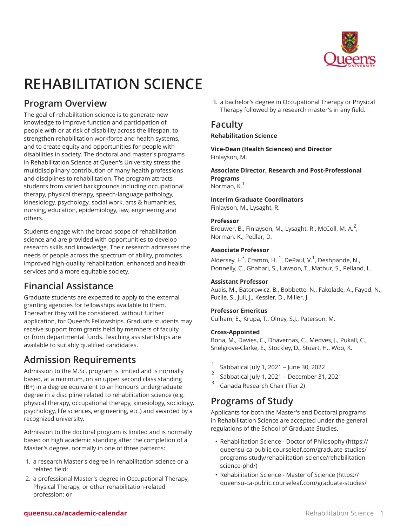

# **REHABILITATION SCIENCE**

# **Program Overview**

The goal of rehabilitation science is to generate new knowledge to improve function and participation of people with or at risk of disability across the lifespan, to strengthen rehabilitation workforce and health systems, and to create equity and opportunities for people with disabilities in society. The doctoral and master's programs in Rehabilitation Science at Queen's University stress the multidisciplinary contribution of many health professions and disciplines to rehabilitation. The program attracts students from varied backgrounds including occupational therapy, physical therapy, speech-language pathology, kinesiology, psychology, social work, arts & humanities, nursing, education, epidemiology, law, engineering and others.

Students engage with the broad scope of rehabilitation science and are provided with opportunities to develop research skills and knowledge. Their research addresses the needs of people across the spectrum of ability, promotes improved high-quality rehabilitation, enhanced and health services and a more equitable society.

# **Financial Assistance**

Graduate students are expected to apply to the external granting agencies for fellowships available to them. Thereafter they will be considered, without further application, for Queen's Fellowships. Graduate students may receive support from grants held by members of faculty, or from departmental funds. Teaching assistantships are available to suitably qualified candidates.

# **Admission Requirements**

Admission to the M.Sc. program is limited and is normally based, at a minimum, on an upper second class standing (B+) in a degree equivalent to an honours undergraduate degree in a discipline related to rehabilitation science (e.g. physical therapy, occupational therapy, kinesiology, sociology, psychology, life sciences, engineering, etc.) and awarded by a recognized university.

Admission to the doctoral program is limited and is normally based on high academic standing after the completion of a Master's degree, normally in one of three patterns:

- 1. a research Master's degree in rehabilitation science or a related field;
- 2. a professional Master's degree in Occupational Therapy, Physical Therapy, or other rehabilitation-related profession; or

3. a bachelor's degree in Occupational Therapy or Physical Therapy followed by a research master's in any field.

# **Faculty**

#### **Rehabilitation Science**

**Vice-Dean (Health Sciences) and Director** Finlayson, M.

**Associate Director, Research and Post-Professional Programs** Norman, K.<sup>1</sup>

#### **Interim Graduate Coordinators**

Finlayson, M., Lysaght, R.

#### **Professor**

Brouwer, B., Finlayson, M., Lysaght, R., McColl, M. A. $^2$ , Norman. K., Pedlar, D.

#### **Associate Professor**

Aldersey, H<sup>3</sup>, Cramm, H. <sup>1</sup>, DePaul, V.<sup>1</sup>, Deshpande, N., Donnelly, C., Ghahari, S., Lawson, T., Mathur, S., Pelland, L.

#### **Assistant Professor**

Auais, M., Batorowicz, B., Bobbette, N., Fakolade, A., Fayed, N., Fucile, S., Jull, J., Kessler, D., Miller, J.

#### **Professor Emeritus**

Culham, E., Krupa, T., Olney, S.J., Paterson, M.

#### **Cross-Appointed**

Bona, M., Davies, C., Dhavernas, C., Medves, J., Pukall, C., Snelgrove-Clarke, E., Stockley, D., Stuart, H., Woo, K.

- 1 Sabbatical July 1, 2021 – June 30, 2022
- 2 Sabbatical July 1, 2021 – December 31, 2021
- 3 Canada Research Chair (Tier 2)

# **Programs of Study**

Applicants for both the Master's and Doctoral programs in Rehabilitation Science are accepted under the general regulations of the School of Graduate Studies.

- [Rehabilitation Science Doctor of Philosophy](https://queensu-ca-public.courseleaf.com/graduate-studies/programs-study/rehabilitation-science/rehabilitation-science-phd/) [\(https://](https://queensu-ca-public.courseleaf.com/graduate-studies/programs-study/rehabilitation-science/rehabilitation-science-phd/) [queensu-ca-public.courseleaf.com/graduate-studies/](https://queensu-ca-public.courseleaf.com/graduate-studies/programs-study/rehabilitation-science/rehabilitation-science-phd/) [programs-study/rehabilitation-science/rehabilitation](https://queensu-ca-public.courseleaf.com/graduate-studies/programs-study/rehabilitation-science/rehabilitation-science-phd/)[science-phd/\)](https://queensu-ca-public.courseleaf.com/graduate-studies/programs-study/rehabilitation-science/rehabilitation-science-phd/)
- [Rehabilitation Science Master of Science](https://queensu-ca-public.courseleaf.com/graduate-studies/programs-study/rehabilitation-science/rehabilitation-science-ms/) [\(https://](https://queensu-ca-public.courseleaf.com/graduate-studies/programs-study/rehabilitation-science/rehabilitation-science-ms/) [queensu-ca-public.courseleaf.com/graduate-studies/](https://queensu-ca-public.courseleaf.com/graduate-studies/programs-study/rehabilitation-science/rehabilitation-science-ms/)

#### **queensu.ca/academic-calendar** Rehabilitation Science 1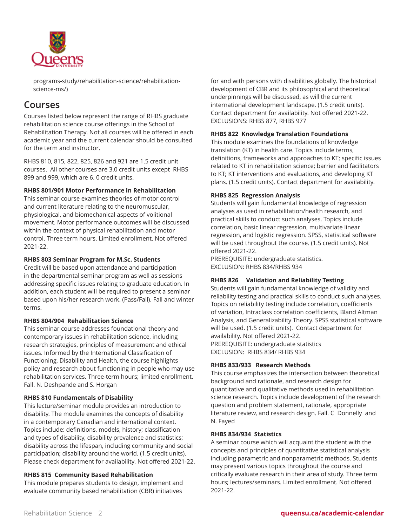

[programs-study/rehabilitation-science/rehabilitation](https://queensu-ca-public.courseleaf.com/graduate-studies/programs-study/rehabilitation-science/rehabilitation-science-ms/)[science-ms/\)](https://queensu-ca-public.courseleaf.com/graduate-studies/programs-study/rehabilitation-science/rehabilitation-science-ms/)

### **Courses**

Courses listed below represent the range of RHBS graduate rehabilitation science course offerings in the School of Rehabilitation Therapy. Not all courses will be offered in each academic year and the current calendar should be consulted for the term and instructor.

RHBS 810, 815, 822, 825, 826 and 921 are 1.5 credit unit courses. All other courses are 3.0 credit units except RHBS 899 and 999, which are 6. 0 credit units.

#### **RHBS 801/901 Motor Performance in Rehabilitation**

This seminar course examines theories of motor control and current literature relating to the neuromuscular, physiological, and biomechanical aspects of volitional movement. Motor performance outcomes will be discussed within the context of physical rehabilitation and motor control. Three term hours. Limited enrollment. Not offered 2021-22.

#### **RHBS 803 Seminar Program for M.Sc. Students**

Credit will be based upon attendance and participation in the departmental seminar program as well as sessions addressing specific issues relating to graduate education. In addition, each student will be required to present a seminar based upon his/her research work. (Pass/Fail). Fall and winter terms.

#### **RHBS 804/904 Rehabilitation Science**

This seminar course addresses foundational theory and contemporary issues in rehabilitation science, including research strategies, principles of measurement and ethical issues. Informed by the International Classification of Functioning, Disability and Health, the course highlights policy and research about functioning in people who may use rehabilitation services. Three-term hours; limited enrollment. Fall. N. Deshpande and S. Horgan

#### **RHBS 810 Fundamentals of Disability**

This lecture/seminar module provides an introduction to disability. The module examines the concepts of disability in a contemporary Canadian and international context. Topics include: definitions, models, history; classification and types of disability, disability prevalence and statistics; disability across the lifespan, including community and social participation; disability around the world. (1.5 credit units). Please check department for availability. Not offered 2021-22.

#### **RHBS 815 Community Based Rehabilitation**

This module prepares students to design, implement and evaluate community based rehabilitation (CBR) initiatives

for and with persons with disabilities globally. The historical development of CBR and its philosophical and theoretical underpinnings will be discussed, as will the current international development landscape. (1.5 credit units). Contact department for availability. Not offered 2021-22. EXCLUSIONS: RHBS 877, RHBS 977

#### **RHBS 822 Knowledge Translation Foundations**

This module examines the foundations of knowledge translation (KT) in health care. Topics include terms, definitions, frameworks and approaches to KT; specific issues related to KT in rehabilitation science; barrier and facilitators to KT; KT interventions and evaluations, and developing KT plans. (1.5 credit units). Contact department for availability.

#### **RHBS 825 Regression Analysis**

Students will gain fundamental knowledge of regression analyses as used in rehabilitation/health research, and practical skills to conduct such analyses. Topics include correlation, basic linear regression, multivariate linear regression, and logistic regression. SPSS, statistical software will be used throughout the course. (1.5 credit units). Not offered 2021-22.

PREREQUISITE: undergraduate statistics. EXCLUSION: RHBS 834/RHBS 934

#### **RHBS 826 Validation and Reliability Testing**

Students will gain fundamental knowledge of validity and reliability testing and practical skills to conduct such analyses. Topics on reliability testing include correlation, coefficients of variation, Intraclass correlation coefficients, Bland Altman Analysis, and Generalizability Theory. SPSS statistical software will be used. (1.5 credit units). Contact department for availability. Not offered 2021-22. PREREQUISITE: undergraduate statistics EXCLUSION: RHBS 834/ RHBS 934

#### **RHBS 833/933 Research Methods**

This course emphasizes the intersection between theoretical background and rationale, and research design for quantitative and qualitative methods used in rehabilitation science research. Topics include development of the research question and problem statement, rationale, appropriate literature review, and research design. Fall. C Donnelly and N. Fayed

#### **RHBS 834/934 Statistics**

A seminar course which will acquaint the student with the concepts and principles of quantitative statistical analysis including parametric and nonparametric methods. Students may present various topics throughout the course and critically evaluate research in their area of study. Three term hours; lectures/seminars. Limited enrollment. Not offered 2021-22.